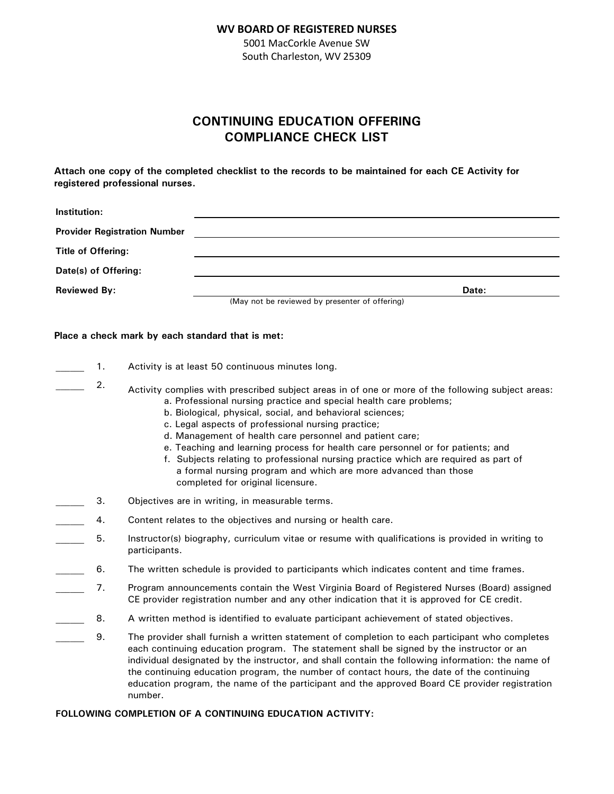#### **WV BOARD OF REGISTERED NURSES**

5001 MacCorkle Avenue SW South Charleston, WV 25309

# **CONTINUING EDUCATION OFFERING COMPLIANCE CHECK LIST**

**Attach one copy of the completed checklist to the records to be maintained for each CE Activity for registered professional nurses.**

| Institution:                        |                                                |       |  |
|-------------------------------------|------------------------------------------------|-------|--|
| <b>Provider Registration Number</b> |                                                |       |  |
| <b>Title of Offering:</b>           |                                                |       |  |
| Date(s) of Offering:                |                                                |       |  |
| <b>Reviewed By:</b>                 |                                                | Date: |  |
|                                     | (May not he reviewed by presenter of offering) |       |  |

(May not be reviewed by presenter of offering)

#### **Place a check mark by each standard that is met:**

- 1. Activity is at least 50 continuous minutes long.
	- 2. Activity complies with prescribed subject areas in of one or more of the following subject areas: a. Professional nursing practice and special health care problems;
		- b. Biological, physical, social, and behavioral sciences;
		- c. Legal aspects of professional nursing practice;
		- d. Management of health care personnel and patient care;
		- e. Teaching and learning process for health care personnel or for patients; and
		- f. Subjects relating to professional nursing practice which are required as part of a formal nursing program and which are more advanced than those completed for original licensure.
- **2008** 3. Objectives are in writing, in measurable terms.
- 4. Content relates to the objectives and nursing or health care.
- \_\_\_\_\_\_ 5. Instructor(s) biography, curriculum vitae or resume with qualifications is provided in writing to participants.
- 6. The written schedule is provided to participants which indicates content and time frames.
- 7. Program announcements contain the West Virginia Board of Registered Nurses (Board) assigned CE provider registration number and any other indication that it is approved for CE credit.
- 8. A written method is identified to evaluate participant achievement of stated objectives.
- \_\_\_\_\_\_ 9. The provider shall furnish a written statement of completion to each participant who completes each continuing education program. The statement shall be signed by the instructor or an individual designated by the instructor, and shall contain the following information: the name of the continuing education program, the number of contact hours, the date of the continuing education program, the name of the participant and the approved Board CE provider registration number.

### **FOLLOWING COMPLETION OF A CONTINUING EDUCATION ACTIVITY:**